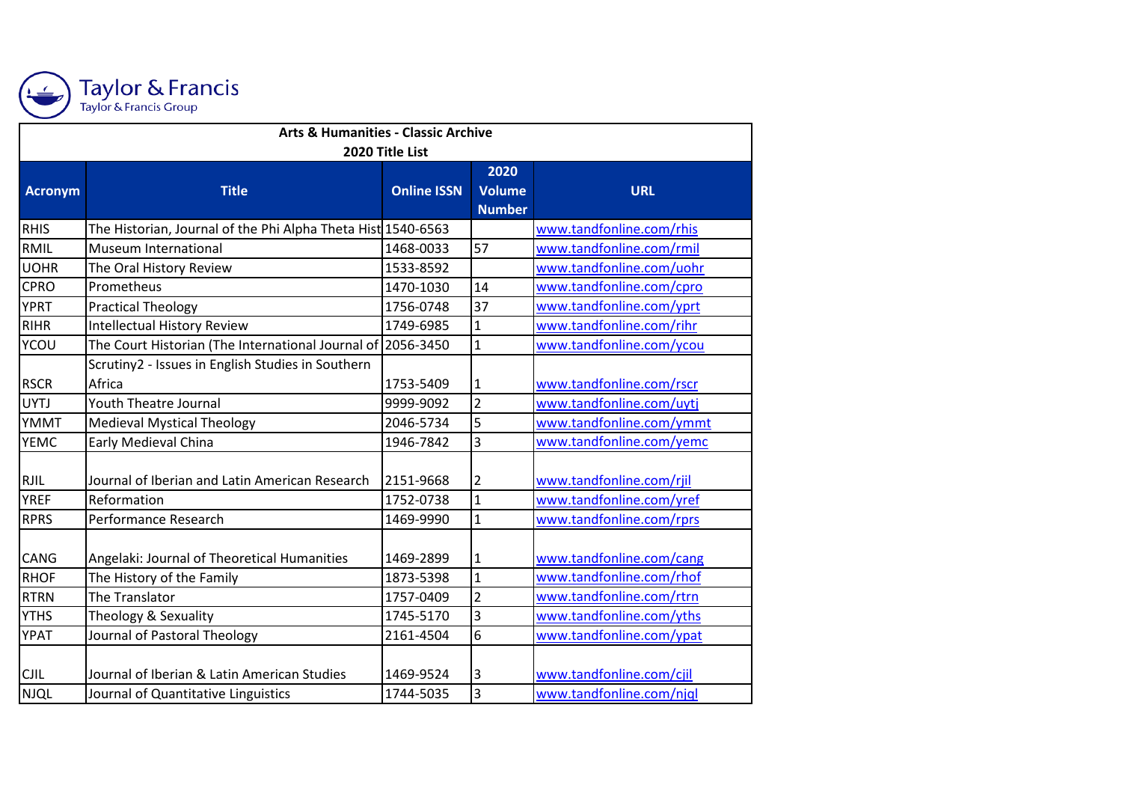

## Taylor & Francis<br>Taylor & Francis Group

| <b>Arts &amp; Humanities - Classic Archive</b> |                                                              |                    |                |                          |  |  |
|------------------------------------------------|--------------------------------------------------------------|--------------------|----------------|--------------------------|--|--|
| 2020 Title List                                |                                                              |                    |                |                          |  |  |
|                                                |                                                              |                    | 2020           |                          |  |  |
| Acronym                                        | <b>Title</b>                                                 | <b>Online ISSN</b> | <b>Volume</b>  | <b>URL</b>               |  |  |
|                                                |                                                              |                    | <b>Number</b>  |                          |  |  |
| <b>RHIS</b>                                    | The Historian, Journal of the Phi Alpha Theta Hist 1540-6563 |                    |                | www.tandfonline.com/rhis |  |  |
| RMIL                                           | Museum International                                         | 1468-0033          | 57             | www.tandfonline.com/rmil |  |  |
| <b>UOHR</b>                                    | The Oral History Review                                      | 1533-8592          |                | www.tandfonline.com/uohr |  |  |
| <b>CPRO</b>                                    | Prometheus                                                   | 1470-1030          | 14             | www.tandfonline.com/cpro |  |  |
| <b>YPRT</b>                                    | <b>Practical Theology</b>                                    | 1756-0748          | 37             | www.tandfonline.com/yprt |  |  |
| <b>RIHR</b>                                    | <b>Intellectual History Review</b>                           | 1749-6985          | $\mathbf{1}$   | www.tandfonline.com/rihr |  |  |
| <b>YCOU</b>                                    | The Court Historian (The International Journal of 2056-3450  |                    | $\mathbf{1}$   | www.tandfonline.com/ycou |  |  |
|                                                | Scrutiny2 - Issues in English Studies in Southern            |                    |                |                          |  |  |
| <b>RSCR</b>                                    | Africa                                                       | 1753-5409          | 1              | www.tandfonline.com/rscr |  |  |
| <b>UYTJ</b>                                    | <b>Youth Theatre Journal</b>                                 | 9999-9092          | $\overline{2}$ | www.tandfonline.com/uytj |  |  |
| YMMT                                           | <b>Medieval Mystical Theology</b>                            | 2046-5734          | 5              | www.tandfonline.com/ymmt |  |  |
| <b>YEMC</b>                                    | Early Medieval China                                         | 1946-7842          | 3              | www.tandfonline.com/yemc |  |  |
|                                                |                                                              |                    |                |                          |  |  |
| <b>RJIL</b>                                    | Journal of Iberian and Latin American Research               | 2151-9668          | 2              | www.tandfonline.com/rjil |  |  |
| <b>YREF</b>                                    | Reformation                                                  | 1752-0738          | $\mathbf{1}$   | www.tandfonline.com/yref |  |  |
| <b>RPRS</b>                                    | Performance Research                                         | 1469-9990          | $\mathbf{1}$   | www.tandfonline.com/rprs |  |  |
|                                                |                                                              |                    |                |                          |  |  |
| <b>CANG</b>                                    | Angelaki: Journal of Theoretical Humanities                  | 1469-2899          | 1              | www.tandfonline.com/cang |  |  |
| <b>RHOF</b>                                    | The History of the Family                                    | 1873-5398          | $\mathbf{1}$   | www.tandfonline.com/rhof |  |  |
| <b>RTRN</b>                                    | The Translator                                               | 1757-0409          | $\overline{2}$ | www.tandfonline.com/rtrn |  |  |
| <b>YTHS</b>                                    | Theology & Sexuality                                         | 1745-5170          | 3              | www.tandfonline.com/yths |  |  |
| <b>YPAT</b>                                    | Journal of Pastoral Theology                                 | 2161-4504          | $\overline{6}$ | www.tandfonline.com/ypat |  |  |
|                                                |                                                              |                    |                |                          |  |  |
| <b>CJIL</b>                                    | Journal of Iberian & Latin American Studies                  | 1469-9524          | 3              | www.tandfonline.com/cjil |  |  |
| <b>NJQL</b>                                    | Journal of Quantitative Linguistics                          | 1744-5035          | 3              | www.tandfonline.com/njql |  |  |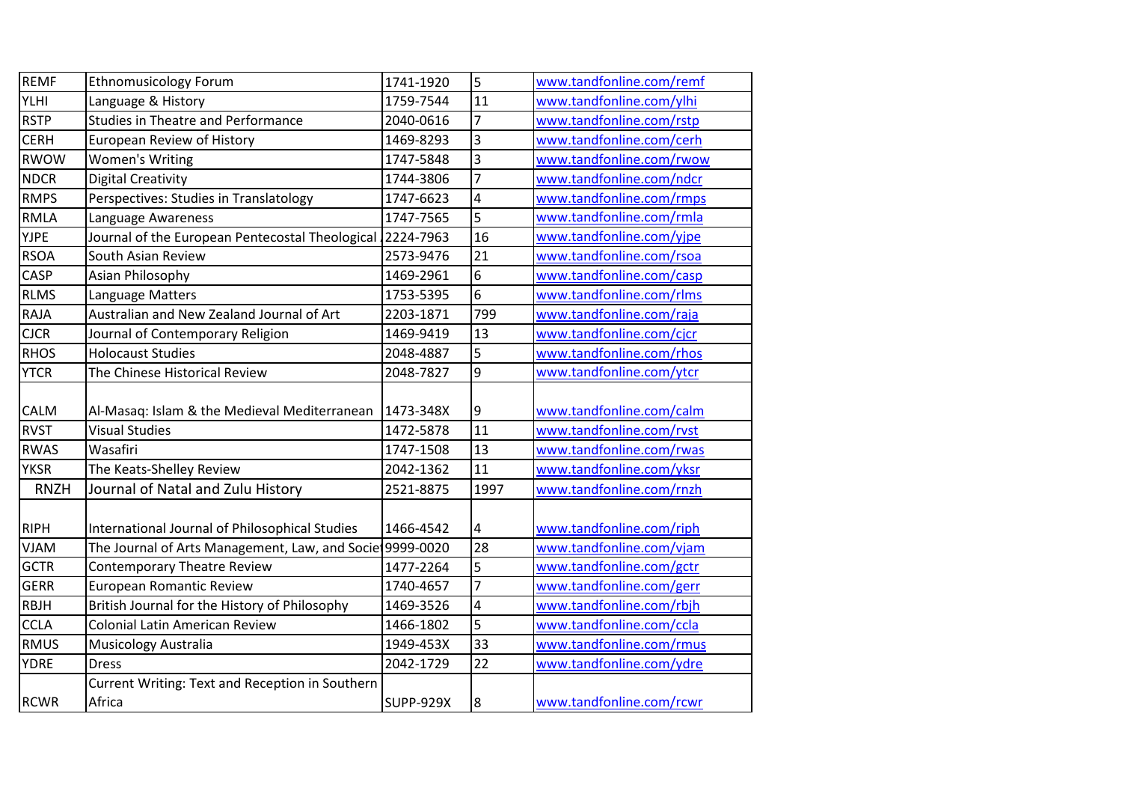| <b>REMF</b> | <b>Ethnomusicology Forum</b>                             | 1741-1920        | 5              | www.tandfonline.com/remf |
|-------------|----------------------------------------------------------|------------------|----------------|--------------------------|
| <b>YLHI</b> | Language & History                                       | 1759-7544        | 11             | www.tandfonline.com/ylhi |
| <b>RSTP</b> | <b>Studies in Theatre and Performance</b>                | 2040-0616        | $\overline{7}$ | www.tandfonline.com/rstp |
| <b>CERH</b> | <b>European Review of History</b>                        | 1469-8293        | 3              | www.tandfonline.com/cerh |
| <b>RWOW</b> | <b>Women's Writing</b>                                   | 1747-5848        | 3              | www.tandfonline.com/rwow |
| <b>NDCR</b> | Digital Creativity                                       | 1744-3806        | 7              | www.tandfonline.com/ndcr |
| <b>RMPS</b> | Perspectives: Studies in Translatology                   | 1747-6623        | 4              | www.tandfonline.com/rmps |
| <b>RMLA</b> | Language Awareness                                       | 1747-7565        | 5              | www.tandfonline.com/rmla |
| <b>YJPE</b> | Journal of the European Pentecostal Theological          | 2224-7963        | 16             | www.tandfonline.com/yjpe |
| <b>RSOA</b> | South Asian Review                                       | 2573-9476        | 21             | www.tandfonline.com/rsoa |
| <b>CASP</b> | Asian Philosophy                                         | 1469-2961        | 6              | www.tandfonline.com/casp |
| <b>RLMS</b> | Language Matters                                         | 1753-5395        | 6              | www.tandfonline.com/rlms |
| <b>RAJA</b> | Australian and New Zealand Journal of Art                | 2203-1871        | 799            | www.tandfonline.com/raja |
| <b>CJCR</b> | Journal of Contemporary Religion                         | 1469-9419        | 13             | www.tandfonline.com/cjcr |
| <b>RHOS</b> | <b>Holocaust Studies</b>                                 | 2048-4887        | 5              | www.tandfonline.com/rhos |
| <b>YTCR</b> | The Chinese Historical Review                            | 2048-7827        | 9              | www.tandfonline.com/ytcr |
|             |                                                          |                  |                |                          |
| <b>CALM</b> | Al-Masaq: Islam & the Medieval Mediterranean             | 1473-348X        | 9              | www.tandfonline.com/calm |
| <b>RVST</b> | <b>Visual Studies</b>                                    | 1472-5878        | 11             | www.tandfonline.com/rvst |
| <b>RWAS</b> | Wasafiri                                                 | 1747-1508        | 13             | www.tandfonline.com/rwas |
| <b>YKSR</b> | The Keats-Shelley Review                                 | 2042-1362        | 11             | www.tandfonline.com/yksr |
| <b>RNZH</b> | Journal of Natal and Zulu History                        | 2521-8875        | 1997           | www.tandfonline.com/rnzh |
| <b>RIPH</b> | International Journal of Philosophical Studies           | 1466-4542        | 4              | www.tandfonline.com/riph |
| <b>VJAM</b> | The Journal of Arts Management, Law, and Socie 9999-0020 |                  | 28             | www.tandfonline.com/vjam |
| <b>GCTR</b> | Contemporary Theatre Review                              | 1477-2264        | 5              | www.tandfonline.com/gctr |
| <b>GERR</b> | European Romantic Review                                 | 1740-4657        | $\overline{7}$ | www.tandfonline.com/gerr |
| RBJH        | British Journal for the History of Philosophy            | 1469-3526        | 4              | www.tandfonline.com/rbjh |
| <b>CCLA</b> | <b>Colonial Latin American Review</b>                    | 1466-1802        | 5              | www.tandfonline.com/ccla |
| <b>RMUS</b> | Musicology Australia                                     | 1949-453X        | 33             | www.tandfonline.com/rmus |
| <b>YDRE</b> | <b>Dress</b>                                             | 2042-1729        | 22             | www.tandfonline.com/ydre |
|             | Current Writing: Text and Reception in Southern          |                  |                |                          |
| <b>RCWR</b> | Africa                                                   | <b>SUPP-929X</b> | 8              | www.tandfonline.com/rcwr |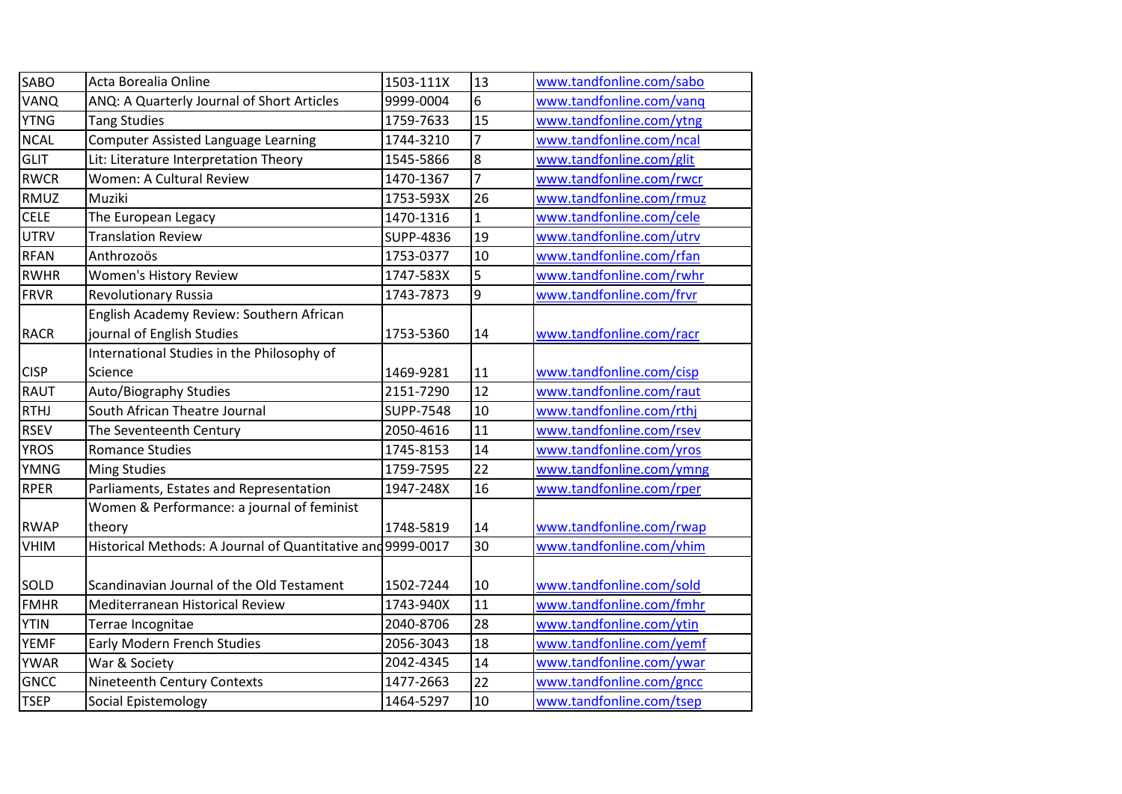| <b>SABO</b> | Acta Borealia Online                                        | 1503-111X        | 13             | www.tandfonline.com/sabo |
|-------------|-------------------------------------------------------------|------------------|----------------|--------------------------|
| VANQ        | ANQ: A Quarterly Journal of Short Articles                  | 9999-0004        | $6\phantom{a}$ | www.tandfonline.com/vanq |
| <b>YTNG</b> | <b>Tang Studies</b>                                         | 1759-7633        | 15             | www.tandfonline.com/ytng |
| <b>NCAL</b> | <b>Computer Assisted Language Learning</b>                  | 1744-3210        | $\overline{7}$ | www.tandfonline.com/ncal |
| <b>GLIT</b> | Lit: Literature Interpretation Theory                       | 1545-5866        | $\overline{8}$ | www.tandfonline.com/glit |
| <b>RWCR</b> | <b>Women: A Cultural Review</b>                             | 1470-1367        | $\overline{7}$ | www.tandfonline.com/rwcr |
| <b>RMUZ</b> | Muziki                                                      | 1753-593X        | 26             | www.tandfonline.com/rmuz |
| <b>CELE</b> | The European Legacy                                         | 1470-1316        | $\mathbf{1}$   | www.tandfonline.com/cele |
| <b>UTRV</b> | <b>Translation Review</b>                                   | <b>SUPP-4836</b> | 19             | www.tandfonline.com/utrv |
| <b>RFAN</b> | Anthrozoös                                                  | 1753-0377        | 10             | www.tandfonline.com/rfan |
| <b>RWHR</b> | <b>Women's History Review</b>                               | 1747-583X        | 5              | www.tandfonline.com/rwhr |
| <b>FRVR</b> | <b>Revolutionary Russia</b>                                 | 1743-7873        | 9              | www.tandfonline.com/frvr |
|             | English Academy Review: Southern African                    |                  |                |                          |
| <b>RACR</b> | journal of English Studies                                  | 1753-5360        | 14             | www.tandfonline.com/racr |
|             | International Studies in the Philosophy of                  |                  |                |                          |
| <b>CISP</b> | Science                                                     | 1469-9281        | 11             | www.tandfonline.com/cisp |
| RAUT        | Auto/Biography Studies                                      | 2151-7290        | 12             | www.tandfonline.com/raut |
| <b>RTHJ</b> | South African Theatre Journal                               | <b>SUPP-7548</b> | 10             | www.tandfonline.com/rthj |
| <b>RSEV</b> | The Seventeenth Century                                     | 2050-4616        | 11             | www.tandfonline.com/rsev |
| <b>YROS</b> | <b>Romance Studies</b>                                      | 1745-8153        | 14             | www.tandfonline.com/yros |
| <b>YMNG</b> | <b>Ming Studies</b>                                         | 1759-7595        | 22             | www.tandfonline.com/ymng |
| <b>RPER</b> | Parliaments, Estates and Representation                     | 1947-248X        | 16             | www.tandfonline.com/rper |
|             | Women & Performance: a journal of feminist                  |                  |                |                          |
| <b>RWAP</b> | theory                                                      | 1748-5819        | 14             | www.tandfonline.com/rwap |
| <b>VHIM</b> | Historical Methods: A Journal of Quantitative and 9999-0017 |                  | 30             | www.tandfonline.com/vhim |
|             |                                                             |                  |                |                          |
| <b>SOLD</b> | Scandinavian Journal of the Old Testament                   | 1502-7244        | 10             | www.tandfonline.com/sold |
| <b>FMHR</b> | Mediterranean Historical Review                             | 1743-940X        | 11             | www.tandfonline.com/fmhr |
| <b>YTIN</b> | Terrae Incognitae                                           | 2040-8706        | 28             | www.tandfonline.com/ytin |
| <b>YEMF</b> | <b>Early Modern French Studies</b>                          | 2056-3043        | 18             | www.tandfonline.com/yemf |
| <b>YWAR</b> | War & Society                                               | 2042-4345        | 14             | www.tandfonline.com/ywar |
| <b>GNCC</b> | Nineteenth Century Contexts                                 | 1477-2663        | 22             | www.tandfonline.com/gncc |
| <b>TSEP</b> | Social Epistemology                                         | 1464-5297        | 10             | www.tandfonline.com/tsep |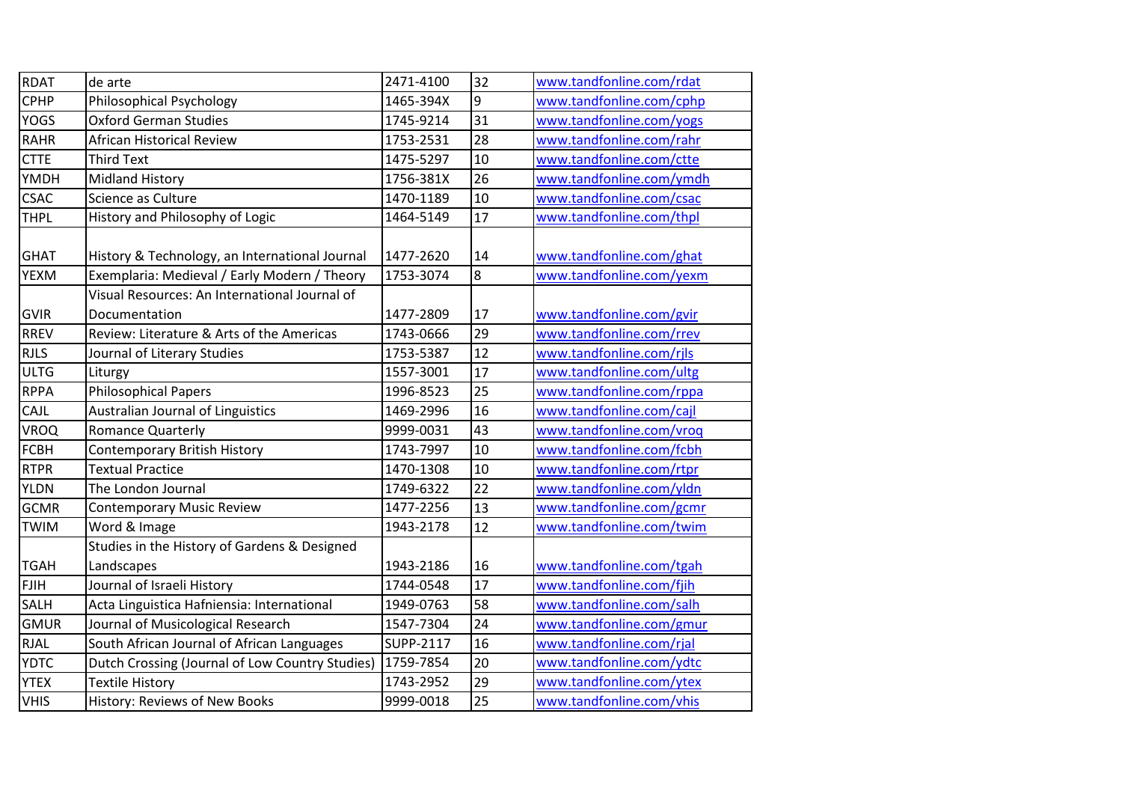| <b>RDAT</b> | de arte                                                        | 2471-4100 | 32              | www.tandfonline.com/rdat |
|-------------|----------------------------------------------------------------|-----------|-----------------|--------------------------|
| <b>CPHP</b> | <b>Philosophical Psychology</b>                                | 1465-394X | 9               | www.tandfonline.com/cphp |
| <b>YOGS</b> | <b>Oxford German Studies</b>                                   | 1745-9214 | 31              | www.tandfonline.com/yogs |
| <b>RAHR</b> | African Historical Review                                      | 1753-2531 | 28              | www.tandfonline.com/rahr |
| <b>CTTE</b> | <b>Third Text</b>                                              | 1475-5297 | 10              | www.tandfonline.com/ctte |
| YMDH        | <b>Midland History</b>                                         | 1756-381X | 26              | www.tandfonline.com/ymdh |
| <b>CSAC</b> | Science as Culture                                             | 1470-1189 | 10              | www.tandfonline.com/csac |
| <b>THPL</b> | History and Philosophy of Logic                                | 1464-5149 | 17              | www.tandfonline.com/thpl |
| <b>GHAT</b> | History & Technology, an International Journal                 | 1477-2620 | 14              | www.tandfonline.com/ghat |
| <b>YEXM</b> | Exemplaria: Medieval / Early Modern / Theory                   | 1753-3074 | $\infty$        | www.tandfonline.com/yexm |
| <b>GVIR</b> | Visual Resources: An International Journal of<br>Documentation | 1477-2809 | 17              | www.tandfonline.com/gvir |
| <b>RREV</b> | Review: Literature & Arts of the Americas                      | 1743-0666 | 29              | www.tandfonline.com/rrev |
| <b>RJLS</b> | Journal of Literary Studies                                    | 1753-5387 | 12              | www.tandfonline.com/rjls |
| <b>ULTG</b> | Liturgy                                                        | 1557-3001 | 17              | www.tandfonline.com/ultg |
| <b>RPPA</b> | <b>Philosophical Papers</b>                                    | 1996-8523 | $\overline{25}$ | www.tandfonline.com/rppa |
| CAJL        | Australian Journal of Linguistics                              | 1469-2996 | 16              | www.tandfonline.com/cajl |
| VROQ        | <b>Romance Quarterly</b>                                       | 9999-0031 | 43              | www.tandfonline.com/vroq |
| <b>FCBH</b> | <b>Contemporary British History</b>                            | 1743-7997 | 10              | www.tandfonline.com/fcbh |
| <b>RTPR</b> | <b>Textual Practice</b>                                        | 1470-1308 | 10              | www.tandfonline.com/rtpr |
| <b>YLDN</b> | The London Journal                                             | 1749-6322 | $\overline{22}$ | www.tandfonline.com/yldn |
| <b>GCMR</b> | <b>Contemporary Music Review</b>                               | 1477-2256 | 13              | www.tandfonline.com/gcmr |
| <b>TWIM</b> | Word & Image                                                   | 1943-2178 | 12              | www.tandfonline.com/twim |
|             | Studies in the History of Gardens & Designed                   |           |                 |                          |
| <b>TGAH</b> | Landscapes                                                     | 1943-2186 | 16              | www.tandfonline.com/tgah |
| <b>FJIH</b> | Journal of Israeli History                                     | 1744-0548 | 17              | www.tandfonline.com/fjih |
| <b>SALH</b> | Acta Linguistica Hafniensia: International                     | 1949-0763 | 58              | www.tandfonline.com/salh |
| <b>GMUR</b> | Journal of Musicological Research                              | 1547-7304 | 24              | www.tandfonline.com/gmur |
| <b>RJAL</b> | South African Journal of African Languages                     | SUPP-2117 | 16              | www.tandfonline.com/rjal |
| <b>YDTC</b> | Dutch Crossing (Journal of Low Country Studies)                | 1759-7854 | 20              | www.tandfonline.com/ydtc |
| <b>YTEX</b> | <b>Textile History</b>                                         | 1743-2952 | 29              | www.tandfonline.com/ytex |
| <b>VHIS</b> | History: Reviews of New Books                                  | 9999-0018 | 25              | www.tandfonline.com/vhis |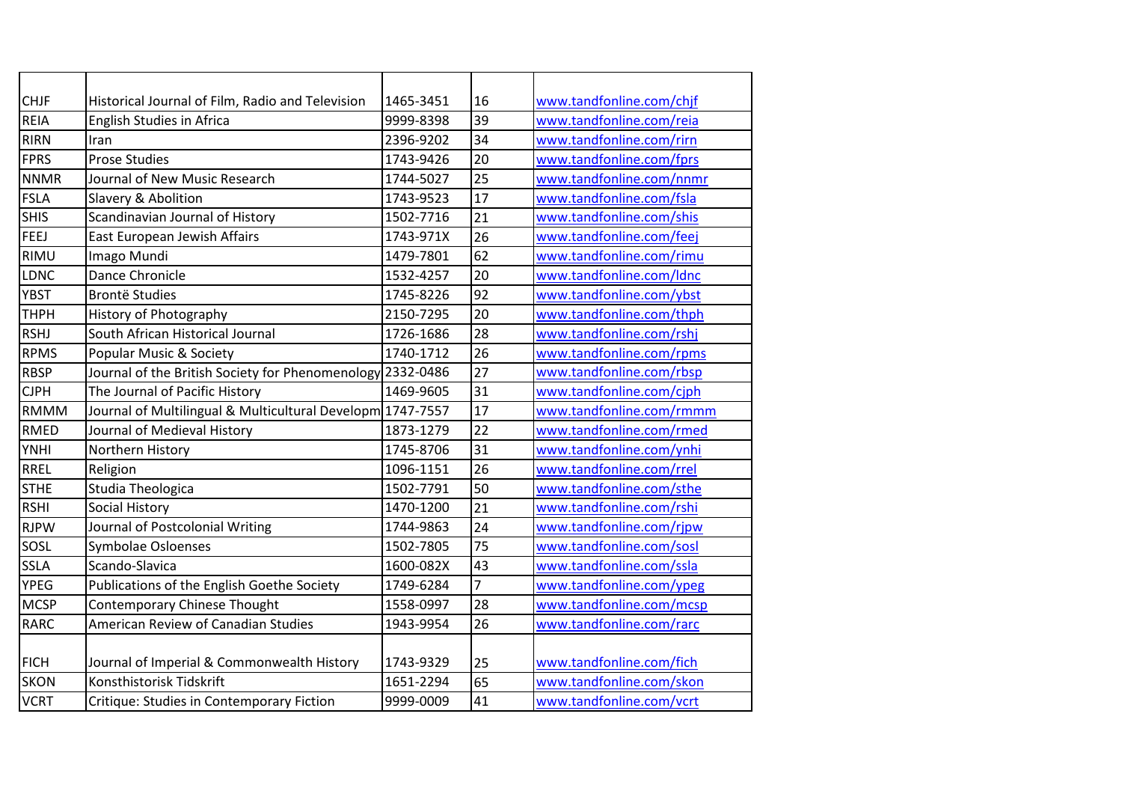| <b>CHJF</b> | Historical Journal of Film, Radio and Television           | 1465-3451 | 16              | www.tandfonline.com/chjf |
|-------------|------------------------------------------------------------|-----------|-----------------|--------------------------|
| <b>REIA</b> | English Studies in Africa                                  | 9999-8398 | 39              | www.tandfonline.com/reia |
| <b>RIRN</b> | Iran                                                       | 2396-9202 | 34              | www.tandfonline.com/rirn |
| <b>FPRS</b> | <b>Prose Studies</b>                                       | 1743-9426 | 20              | www.tandfonline.com/fprs |
| <b>NNMR</b> | Journal of New Music Research                              | 1744-5027 | $\overline{25}$ | www.tandfonline.com/nnmr |
| <b>FSLA</b> | Slavery & Abolition                                        | 1743-9523 | 17              | www.tandfonline.com/fsla |
| <b>SHIS</b> | Scandinavian Journal of History                            | 1502-7716 | 21              | www.tandfonline.com/shis |
| <b>FEEJ</b> | East European Jewish Affairs                               | 1743-971X | 26              | www.tandfonline.com/feej |
| <b>RIMU</b> | Imago Mundi                                                | 1479-7801 | 62              | www.tandfonline.com/rimu |
| LDNC        | Dance Chronicle                                            | 1532-4257 | 20              | www.tandfonline.com/Idnc |
| <b>YBST</b> | <b>Brontë Studies</b>                                      | 1745-8226 | 92              | www.tandfonline.com/ybst |
| <b>THPH</b> | <b>History of Photography</b>                              | 2150-7295 | 20              | www.tandfonline.com/thph |
| <b>RSHJ</b> | South African Historical Journal                           | 1726-1686 | 28              | www.tandfonline.com/rshj |
| <b>RPMS</b> | Popular Music & Society                                    | 1740-1712 | 26              | www.tandfonline.com/rpms |
| <b>RBSP</b> | Journal of the British Society for Phenomenology 2332-0486 |           | 27              | www.tandfonline.com/rbsp |
| <b>CJPH</b> | The Journal of Pacific History                             | 1469-9605 | 31              | www.tandfonline.com/cjph |
| <b>RMMM</b> | Journal of Multilingual & Multicultural Developm 1747-7557 |           | 17              | www.tandfonline.com/rmmm |
| <b>RMED</b> | Journal of Medieval History                                | 1873-1279 | 22              | www.tandfonline.com/rmed |
| YNHI        | Northern History                                           | 1745-8706 | 31              | www.tandfonline.com/ynhi |
| <b>RREL</b> | Religion                                                   | 1096-1151 | 26              | www.tandfonline.com/rrel |
| <b>STHE</b> | Studia Theologica                                          | 1502-7791 | 50              | www.tandfonline.com/sthe |
| <b>RSHI</b> | Social History                                             | 1470-1200 | 21              | www.tandfonline.com/rshi |
| <b>RJPW</b> | Journal of Postcolonial Writing                            | 1744-9863 | 24              | www.tandfonline.com/rjpw |
| SOSL        | Symbolae Osloenses                                         | 1502-7805 | 75              | www.tandfonline.com/sosl |
| SSLA        | Scando-Slavica                                             | 1600-082X | 43              | www.tandfonline.com/ssla |
| YPEG        | Publications of the English Goethe Society                 | 1749-6284 | 7               | www.tandfonline.com/ypeg |
| <b>MCSP</b> | <b>Contemporary Chinese Thought</b>                        | 1558-0997 | 28              | www.tandfonline.com/mcsp |
| <b>RARC</b> | American Review of Canadian Studies                        | 1943-9954 | 26              | www.tandfonline.com/rarc |
|             |                                                            |           |                 |                          |
| <b>FICH</b> | Journal of Imperial & Commonwealth History                 | 1743-9329 | 25              | www.tandfonline.com/fich |
| <b>SKON</b> | Konsthistorisk Tidskrift                                   | 1651-2294 | 65              | www.tandfonline.com/skon |
| <b>VCRT</b> | Critique: Studies in Contemporary Fiction                  | 9999-0009 | 41              | www.tandfonline.com/vcrt |